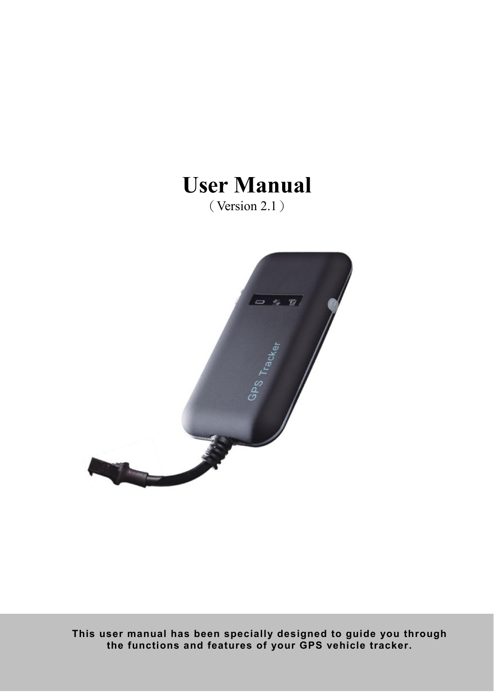# User Manual (Version 2.1)



This user manual has been specially designed to guide you through the functions and features of your GPS vehicle tracker.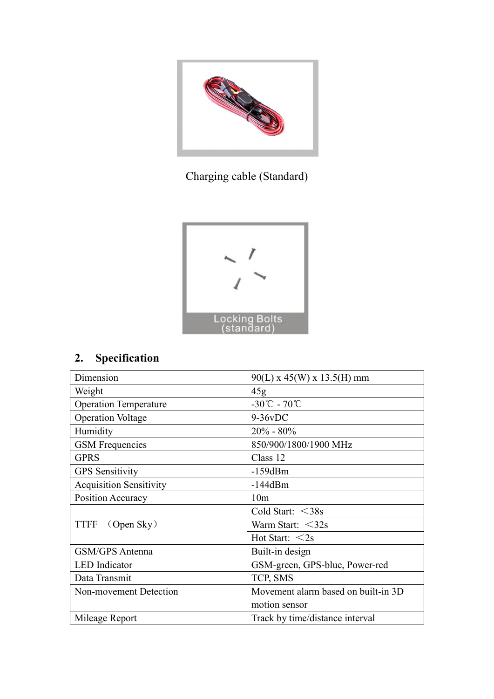

Charging cable (Standard)



## 2. Specification

| Dimension                          | $90(L)$ x 45(W) x 13.5(H) mm               |
|------------------------------------|--------------------------------------------|
| Weight                             | 45g                                        |
| <b>Operation Temperature</b>       | $-30^{\circ}\text{C} - 70^{\circ}\text{C}$ |
| <b>Operation Voltage</b>           | $9-36vDC$                                  |
| Humidity                           | $20\% - 80\%$                              |
| <b>GSM</b> Frequencies             | 850/900/1800/1900 MHz                      |
| <b>GPRS</b>                        | Class 12                                   |
| <b>GPS</b> Sensitivity             | $-159dBm$                                  |
| <b>Acquisition Sensitivity</b>     | $-144dBm$                                  |
| Position Accuracy                  | 10 <sub>m</sub>                            |
|                                    | Cold Start: $<$ 38s                        |
| <b>TTFF</b><br>$\Omega$ (Open Sky) | Warm Start: $<$ 32s                        |
|                                    | Hot Start: $<$ 2s                          |
| <b>GSM/GPS</b> Antenna             | Built-in design                            |
| <b>LED</b> Indicator               | GSM-green, GPS-blue, Power-red             |
| Data Transmit                      | TCP, SMS                                   |
| Non-movement Detection             | Movement alarm based on built-in 3D        |
|                                    | motion sensor                              |
| Mileage Report                     | Track by time/distance interval            |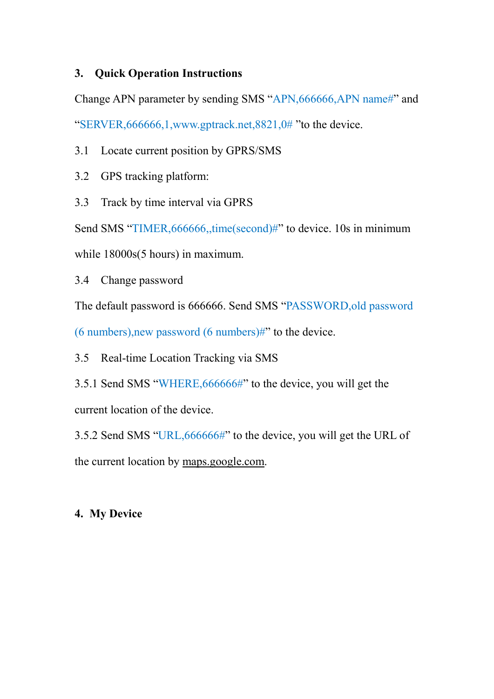### 3. Quick Operation Instructions

Change APN parameter by sending SMS "APN,666666,APN name#" and "SERVER,666666,1,www.gptrack.net,8821,0# "to the device.

3.1 Locate current position by GPRS/SMS

3.2 GPS tracking platform:

3.3 Track by time interval via GPRS

Send SMS "TIMER, 666666, time(second)#" to device. 10s in minimum

while  $18000s(5 hours)$  in maximum.

3.4 Change password

The default password is 666666. Send SMS "PASSWORD,old password

 $(6 \text{ numbers})$ , new password  $(6 \text{ numbers})$ #" to the device.

3.5 Real-time Location Tracking via SMS

3.5.1 Send SMS "WHERE,666666#" to the device, you will get the current location of the device.

3.5.2 Send SMS "URL,666666#" to the device, you will get the URL of the current location by maps.google.com.

### 4. My Device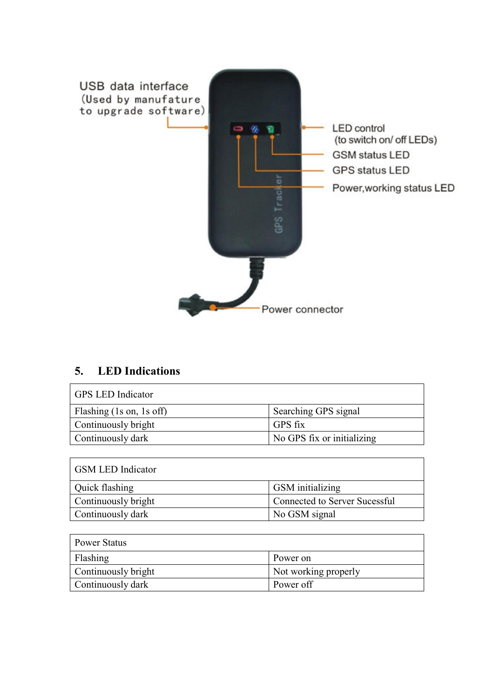

### 5. LED Indications

| <b>GPS LED Indicator</b> |                            |
|--------------------------|----------------------------|
| Flashing (1s on, 1s off) | Searching GPS signal       |
| Continuously bright      | GPS fix                    |
| Continuously dark        | No GPS fix or initializing |

| <b>GSM LED Indicator</b> |                               |
|--------------------------|-------------------------------|
| Quick flashing           | <b>GSM</b> initializing       |
| Continuously bright      | Connected to Server Sucessful |
| Continuously dark        | No GSM signal                 |

| <b>Power Status</b> |                      |  |
|---------------------|----------------------|--|
| Flashing            | Power on             |  |
| Continuously bright | Not working properly |  |
| Continuously dark   | Power off            |  |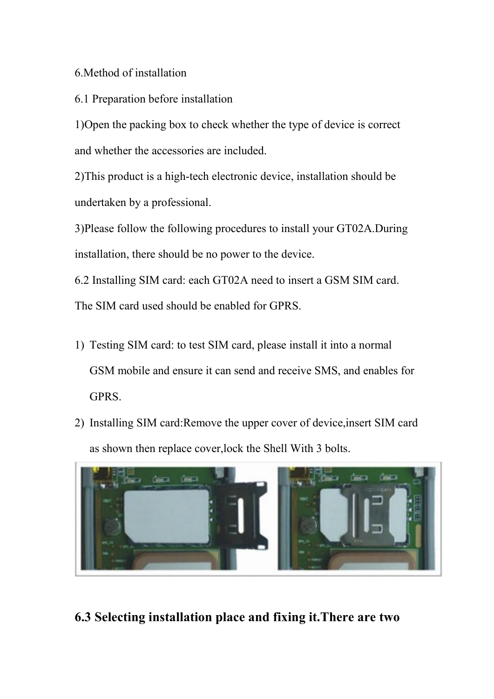### 6.Method of installation

6.1 Preparation before installation

1)Open the packing box to check whether the type of device is correct and whether the accessories are included.

2)This product is a high-tech electronic device, installation should be undertaken by a professional.

3)Please follow the following procedures to install your GT02A.During installation, there should be no power to the device.

6.2 Installing SIM card: each GT02A need to insert a GSM SIM card. The SIM card used should be enabled for GPRS.

- 1) Testing SIM card: to test SIM card, please install it into a normal GSM mobile and ensure it can send and receive SMS, and enables for GPRS.
- 2) Installing SIM card:Remove the upper cover of device,insert SIM card as shown then replace cover,lock the Shell With 3 bolts.



6.3 Selecting installation place and fixing it.There are two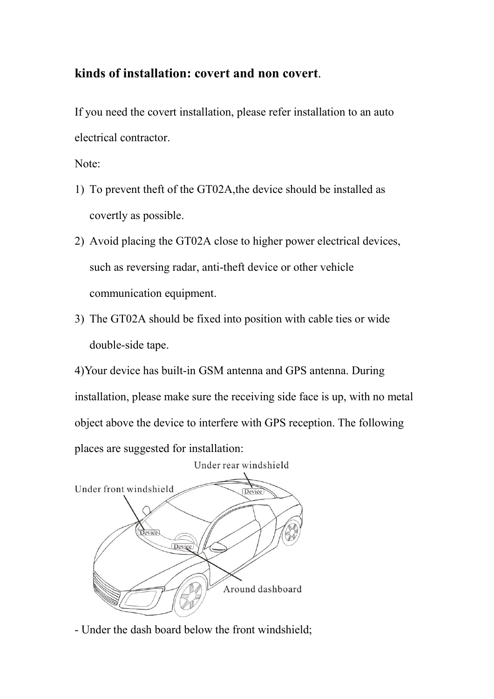### kinds of installation: covert and non covert.

If you need the covert installation, please refer installation to an auto electrical contractor.

Note:

- 1) To prevent theft of the GT02A,the device should be installed as covertly as possible.
- 2) Avoid placing the GT02A close to higher power electrical devices, such as reversing radar, anti-theft device or other vehicle communication equipment.
- 3) The GT02A should be fixed into position with cable ties or wide double-side tape.

4)Your device has built-in GSM antenna and GPS antenna. During installation, please make sure the receiving side face is up, with no metal object above the device to interfere with GPS reception. The following places are suggested for installation:



- Under the dash board below the front windshield;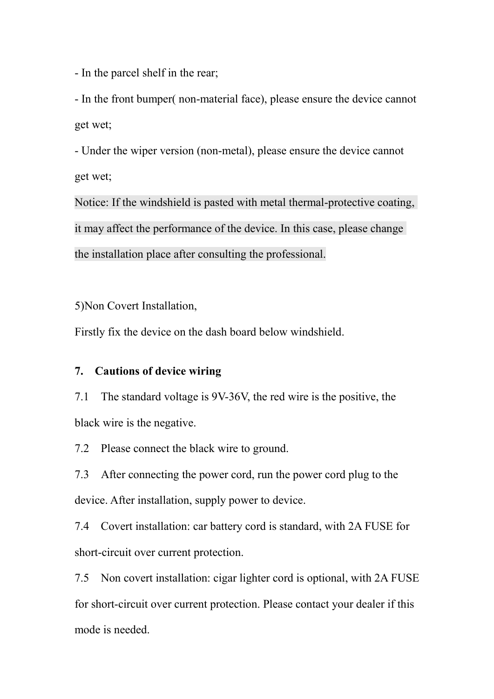- In the parcel shelf in the rear;

- In the front bumper( non-material face), please ensure the device cannot get wet;

- Under the wiper version (non-metal), please ensure the device cannot get wet;

Notice: If the windshield is pasted with metal thermal-protective coating, it may affect the performance of the device. In this case, please change the installation place after consulting the professional.

5)Non Covert Installation,

Firstly fix the device on the dash board below windshield.

#### 7. Cautions of device wiring

7.1 The standard voltage is 9V-36V, the red wire is the positive, the black wire is the negative.

7.2 Please connect the black wire to ground.

7.3 After connecting the power cord, run the power cord plug to the device. After installation, supply power to device.

7.4 Covert installation: car battery cord is standard, with 2A FUSE for short-circuit over current protection.

7.5 Non covert installation: cigar lighter cord is optional, with 2A FUSE for short-circuit over current protection. Please contact your dealer if this mode is needed.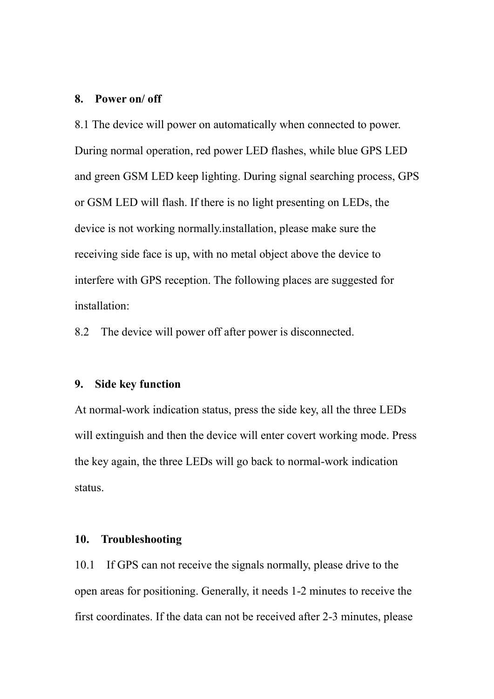#### 8. Power on/ off

8.1 The device will power on automatically when connected to power. During normal operation, red power LED flashes, while blue GPS LED and green GSM LED keep lighting. During signal searching process, GPS or GSM LED will flash. If there is no light presenting on LEDs, the device is not working normally.installation, please make sure the receiving side face is up, with no metal object above the device to interfere with GPS reception. The following places are suggested for installation:

8.2 The device will power off after power is disconnected.

#### 9. Side key function

At normal-work indication status, press the side key, all the three LEDs will extinguish and then the device will enter covert working mode. Press the key again, the three LEDs will go back to normal-work indication status.

#### 10. Troubleshooting

10.1 If GPS can not receive the signals normally, please drive to the open areas for positioning. Generally, it needs 1-2 minutes to receive the first coordinates. If the data can not be received after 2-3 minutes, please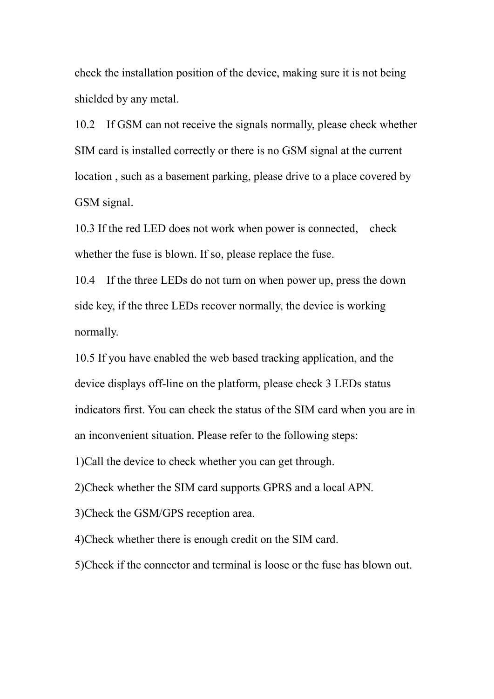check the installation position of the device, making sure it is not being shielded by any metal.

10.2 If GSM can not receive the signals normally, please check whether SIM card is installed correctly or there is no GSM signal at the current location , such as a basement parking, please drive to a place covered by GSM signal.

10.3 If the red LED does not work when power is connected, check whether the fuse is blown. If so, please replace the fuse.

10.4 If the three LEDs do not turn on when power up, press the down side key, if the three LEDs recover normally, the device is working normally.

10.5 If you have enabled the web based tracking application, and the device displays off-line on the platform, please check 3 LEDs status indicators first. You can check the status of the SIM card when you are in an inconvenient situation. Please refer to the following steps:

1)Call the device to check whether you can get through.

2)Check whether the SIM card supports GPRS and a local APN.

3)Check the GSM/GPS reception area.

4)Check whether there is enough credit on the SIM card.

5)Check if the connector and terminal is loose or the fuse has blown out.